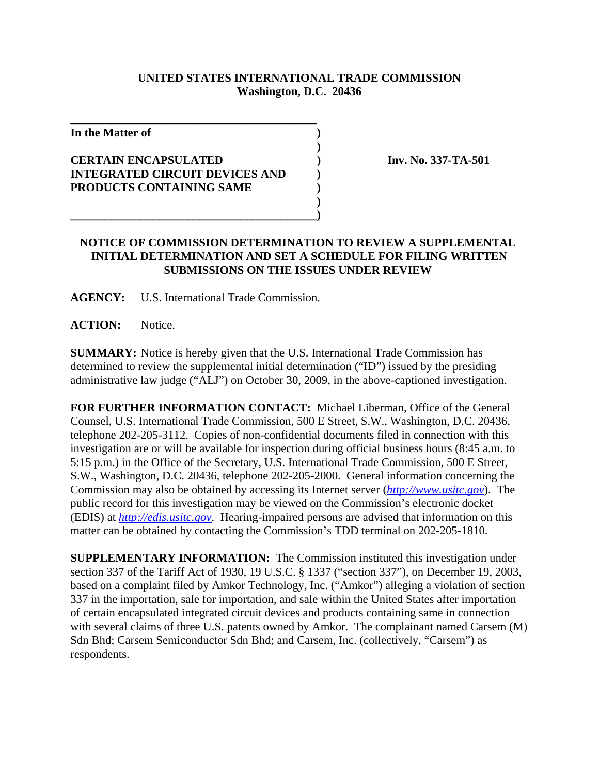## **UNITED STATES INTERNATIONAL TRADE COMMISSION Washington, D.C. 20436**

**)**

**)**

**In the Matter of )**

## **CERTAIN ENCAPSULATED ) Inv. No. 337-TA-501 INTEGRATED CIRCUIT DEVICES AND ) PRODUCTS CONTAINING SAME )**

**\_\_\_\_\_\_\_\_\_\_\_\_\_\_\_\_\_\_\_\_\_\_\_\_\_\_\_\_\_\_\_\_\_\_\_\_\_\_\_\_\_\_**

## **NOTICE OF COMMISSION DETERMINATION TO REVIEW A SUPPLEMENTAL INITIAL DETERMINATION AND SET A SCHEDULE FOR FILING WRITTEN SUBMISSIONS ON THE ISSUES UNDER REVIEW**

**AGENCY:** U.S. International Trade Commission.

**\_\_\_\_\_\_\_\_\_\_\_\_\_\_\_\_\_\_\_\_\_\_\_\_\_\_\_\_\_\_\_\_\_\_\_\_\_\_\_\_\_\_)**

**ACTION:** Notice.

**SUMMARY:** Notice is hereby given that the U.S. International Trade Commission has determined to review the supplemental initial determination ("ID") issued by the presiding administrative law judge ("ALJ") on October 30, 2009, in the above-captioned investigation.

**FOR FURTHER INFORMATION CONTACT:** Michael Liberman, Office of the General Counsel, U.S. International Trade Commission, 500 E Street, S.W., Washington, D.C. 20436, telephone 202-205-3112. Copies of non-confidential documents filed in connection with this investigation are or will be available for inspection during official business hours (8:45 a.m. to 5:15 p.m.) in the Office of the Secretary, U.S. International Trade Commission, 500 E Street, S.W., Washington, D.C. 20436, telephone 202-205-2000. General information concerning the Commission may also be obtained by accessing its Internet server (*http://www.usitc.gov*). The public record for this investigation may be viewed on the Commission's electronic docket (EDIS) at *http://edis.usitc.gov*. Hearing-impaired persons are advised that information on this matter can be obtained by contacting the Commission's TDD terminal on 202-205-1810.

**SUPPLEMENTARY INFORMATION:** The Commission instituted this investigation under section 337 of the Tariff Act of 1930, 19 U.S.C. § 1337 ("section 337"), on December 19, 2003, based on a complaint filed by Amkor Technology, Inc. ("Amkor") alleging a violation of section 337 in the importation, sale for importation, and sale within the United States after importation of certain encapsulated integrated circuit devices and products containing same in connection with several claims of three U.S. patents owned by Amkor. The complainant named Carsem (M) Sdn Bhd; Carsem Semiconductor Sdn Bhd; and Carsem, Inc. (collectively, "Carsem") as respondents.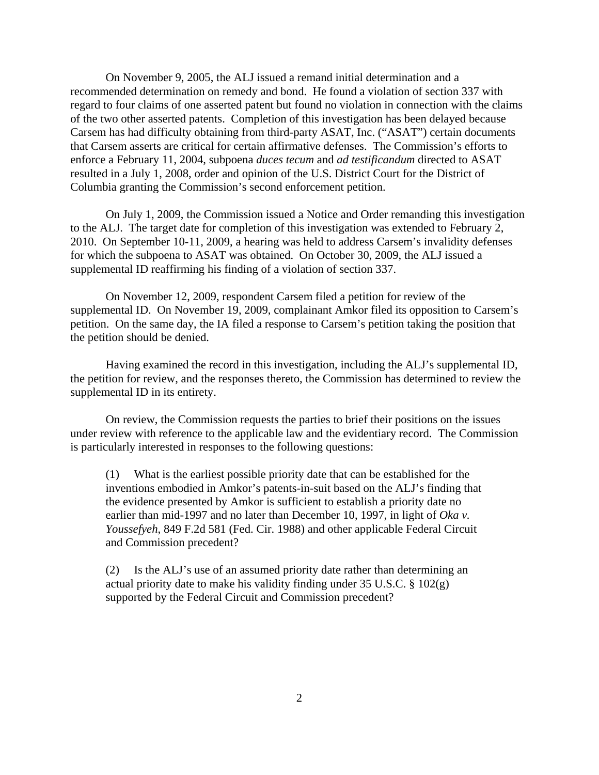On November 9, 2005, the ALJ issued a remand initial determination and a recommended determination on remedy and bond. He found a violation of section 337 with regard to four claims of one asserted patent but found no violation in connection with the claims of the two other asserted patents. Completion of this investigation has been delayed because Carsem has had difficulty obtaining from third-party ASAT, Inc. ("ASAT") certain documents that Carsem asserts are critical for certain affirmative defenses. The Commission's efforts to enforce a February 11, 2004, subpoena *duces tecum* and *ad testificandum* directed to ASAT resulted in a July 1, 2008, order and opinion of the U.S. District Court for the District of Columbia granting the Commission's second enforcement petition.

On July 1, 2009, the Commission issued a Notice and Order remanding this investigation to the ALJ. The target date for completion of this investigation was extended to February 2, 2010. On September 10-11, 2009, a hearing was held to address Carsem's invalidity defenses for which the subpoena to ASAT was obtained. On October 30, 2009, the ALJ issued a supplemental ID reaffirming his finding of a violation of section 337.

On November 12, 2009, respondent Carsem filed a petition for review of the supplemental ID. On November 19, 2009, complainant Amkor filed its opposition to Carsem's petition. On the same day, the IA filed a response to Carsem's petition taking the position that the petition should be denied.

Having examined the record in this investigation, including the ALJ's supplemental ID, the petition for review, and the responses thereto, the Commission has determined to review the supplemental ID in its entirety.

On review, the Commission requests the parties to brief their positions on the issues under review with reference to the applicable law and the evidentiary record. The Commission is particularly interested in responses to the following questions:

(1) What is the earliest possible priority date that can be established for the inventions embodied in Amkor's patents-in-suit based on the ALJ's finding that the evidence presented by Amkor is sufficient to establish a priority date no earlier than mid-1997 and no later than December 10, 1997, in light of *Oka v. Youssefyeh*, 849 F.2d 581 (Fed. Cir. 1988) and other applicable Federal Circuit and Commission precedent?

(2) Is the ALJ's use of an assumed priority date rather than determining an actual priority date to make his validity finding under  $35 \text{ U.S.C.}$  §  $102(g)$ supported by the Federal Circuit and Commission precedent?